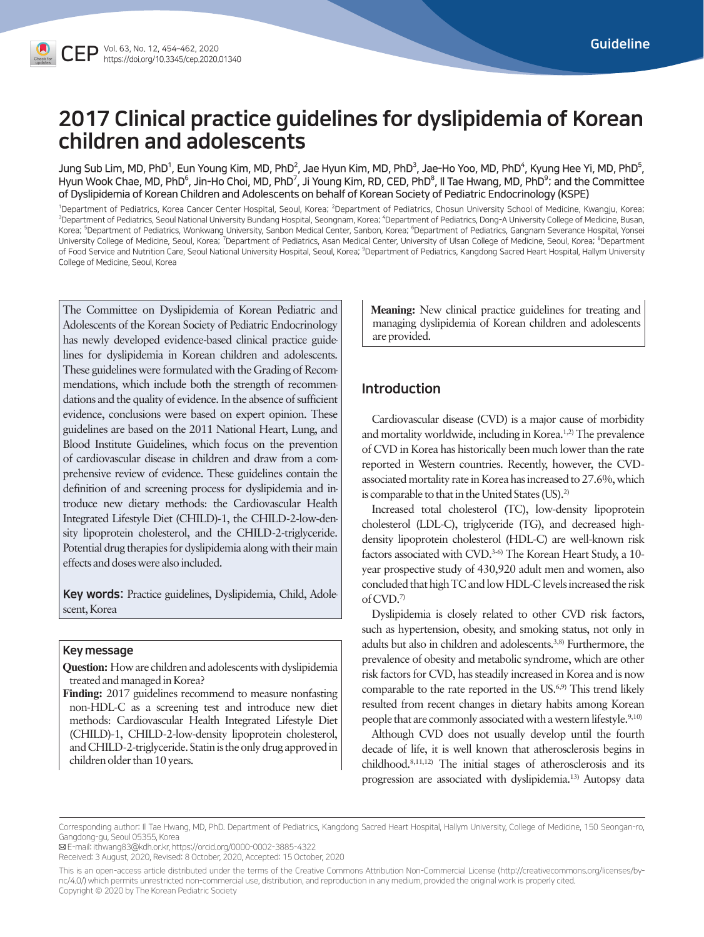# 2017 Clinical practice guidelines for dyslipidemia of Korean children and adolescents

Jung Sub Lim, MD, PhD<sup>1</sup>, Eun Young Kim, MD, PhD<sup>2</sup>, Jae Hyun Kim, MD, PhD<sup>3</sup>, Jae-Ho Yoo, MD, PhD<sup>4</sup>, Kyung Hee Yi, MD, PhD<sup>5</sup>, Hyun Wook Chae, MD, PhD<sup>6</sup>, Jin-Ho Choi, MD, PhD<sup>7</sup>, Ji Young Kim, RD, CED, PhD<sup>8</sup>, II Tae Hwang, MD, PhD<sup>9</sup>; and the Committee of Dyslipidemia of Korean Children and Adolescents on behalf of Korean Society of Pediatric Endocrinology (KSPE)

<sup>1</sup>Department of Pediatrics, Korea Cancer Center Hospital, Seoul, Korea; <sup>2</sup>Department of Pediatrics, Chosun University School of Medicine, Kwangju, Korea;<br><sup>3</sup>Department of Pediatrics, Seoul National University Bundang Hos Department of Pediatrics, Seoul National University Bundang Hospital, Seongnam, Korea; "Department of Pediatrics, Dong-A University College of Medicine, Busan, Korea; <sup>5</sup>Department of Pediatrics, Wonkwang University, Sanbon Medical Center, Sanbon, Korea; <sup>6</sup>Department of Pediatrics, Gangnam Severance Hospital, Yonsei University College of Medicine, Seoul, Korea; <sup>7</sup>Department of Pediatrics, Asan Medical Center, University of Ulsan College of Medicine, Seoul, Korea; <sup>8</sup>Department of Food Service and Nutrition Care, Seoul National University Hospital, Seoul, Korea; <sup>9</sup>Department of Pediatrics, Kangdong Sacred Heart Hospital, Hallym University College of Medicine, Seoul, Korea

The Committee on Dyslipidemia of Korean Pediatric and Adolescents of the Korean Society of Pediatric Endocrinology has newly developed evidence-based clinical practice guidelines for dyslipidemia in Korean children and adolescents. These guidelines were formulated with the Grading of Recommendations, which include both the strength of recommendations and the quality of evidence. In the absence of sufficient evidence, conclusions were based on expert opinion. These guidelines are based on the 2011 National Heart, Lung, and Blood Institute Guidelines, which focus on the prevention of cardiovascular disease in children and draw from a comprehensive review of evidence. These guidelines contain the definition of and screening process for dyslipidemia and introduce new dietary methods: the Cardiovascular Health Integrated Lifestyle Diet (CHILD)-1, the CHILD-2-low-density lipoprotein cholesterol, and the CHILD-2-triglyceride. Potential drug therapies for dyslipidemia along with their main effects and doses were also included.

Key words: Practice guidelines, Dyslipidemia, Child, Adolescent, Korea

### Key message

**Question:** How are children and adolescents with dyslipidemia treated and managed in Korea?

**Finding:** 2017 guidelines recommend to measure nonfasting non-HDL-C as a screening test and introduce new diet methods: Cardiovascular Health Integrated Lifestyle Diet (CHILD)-1, CHILD-2-low-density lipoprotein cholesterol, and CHILD-2-triglyceride. Statin is the only drug approved in children older than 10 years.

 **Meaning:** New clinical practice guidelines for treating and managing dyslipidemia of Korean children and adolescents are provided.

# Introduction

Cardiovascular disease (CVD) is a major cause of morbidity and mortality worldwide, including in Korea.1,2) The prevalence of CVD in Korea has historically been much lower than the rate reported in Western countries. Recently, however, the CVDassociated mortality rate in Korea has increased to 27.6%, which is comparable to that in the United States (US).<sup>2)</sup>

Increased total cholesterol (TC), low-density lipoprotein cholesterol (LDL-C), triglyceride (TG), and decreased highdensity lipoprotein cholesterol (HDL-C) are well-known risk factors associated with CVD.<sup>3-6)</sup> The Korean Heart Study, a 10year prospective study of 430,920 adult men and women, also concluded that high TC and low HDL-C levels increased the risk of CVD.7)

Dyslipidemia is closely related to other CVD risk factors, such as hypertension, obesity, and smoking status, not only in adults but also in children and adolescents.3,8) Furthermore, the prevalence of obesity and metabolic syndrome, which are other risk factors for CVD, has steadily increased in Korea and is now comparable to the rate reported in the US.<sup>6,9)</sup> This trend likely resulted from recent changes in dietary habits among Korean people that are commonly associated with a western lifestyle.<sup>9,10)</sup>

Although CVD does not usually develop until the fourth decade of life, it is well known that atherosclerosis begins in childhood.8,11,12) The initial stages of atherosclerosis and its progression are associated with dyslipidemia.13) Autopsy data

E-mail: ithwang83@kdh.or.kr, https://orcid.org/0000-0002-3885-4322

Corresponding author: Il Tae Hwang, MD, PhD. Department of Pediatrics, Kangdong Sacred Heart Hospital, Hallym University, College of Medicine, 150 Seongan-ro, Gangdong-gu, Seoul 05355, Korea

Received: 3 August, 2020, Revised: 8 October, 2020, Accepted: 15 October, 2020

This is an open-access article distributed under the terms of the Creative Commons Attribution Non-Commercial License (http://creativecommons.org/licenses/bync/4.0/) which permits unrestricted non-commercial use, distribution, and reproduction in any medium, provided the original work is properly cited. Copyright © 2020 by The Korean Pediatric Society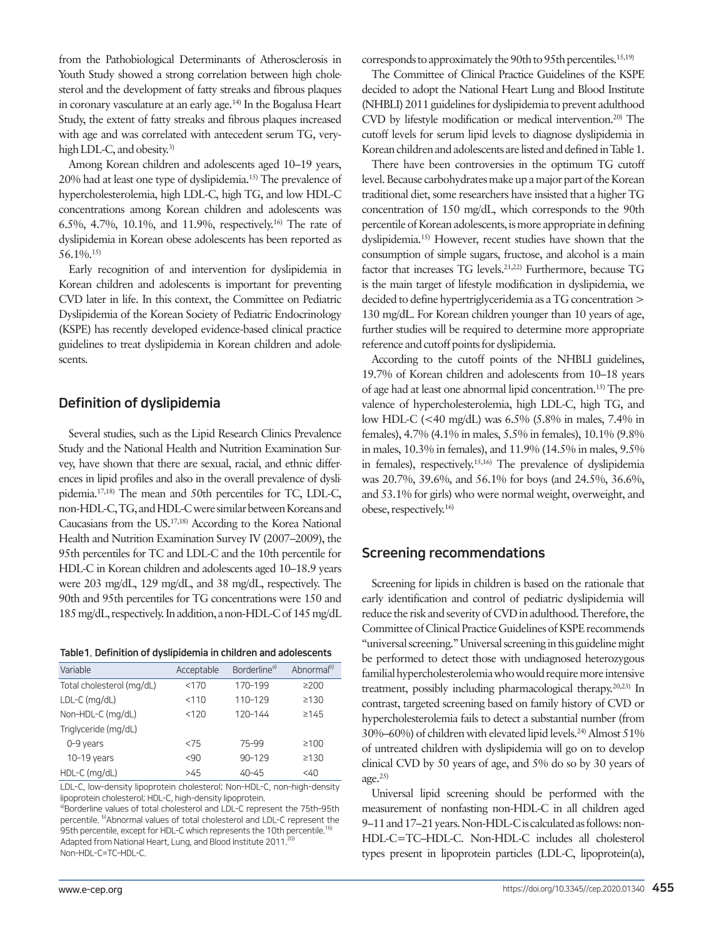from the Pathobiological Determinants of Atherosclerosis in Youth Study showed a strong correlation between high cholesterol and the development of fatty streaks and fibrous plaques in coronary vasculature at an early age.14) In the Bogalusa Heart Study, the extent of fatty streaks and fibrous plaques increased with age and was correlated with antecedent serum TG, veryhigh LDL-C, and obesity.<sup>3)</sup>

Among Korean children and adolescents aged 10–19 years, 20% had at least one type of dyslipidemia.15) The prevalence of hypercholesterolemia, high LDL-C, high TG, and low HDL-C concentrations among Korean children and adolescents was 6.5%, 4.7%, 10.1%, and 11.9%, respectively.16) The rate of dyslipidemia in Korean obese adolescents has been reported as 56.1%.15)

Early recognition of and intervention for dyslipidemia in Korean children and adolescents is important for preventing CVD later in life. In this context, the Committee on Pediatric Dyslipidemia of the Korean Society of Pediatric Endocrinology (KSPE) has recently developed evidence-based clinical practice guidelines to treat dyslipidemia in Korean children and adolescents.

# Definition of dyslipidemia

Several studies, such as the Lipid Research Clinics Prevalence Study and the National Health and Nutrition Examination Survey, have shown that there are sexual, racial, and ethnic differences in lipid profiles and also in the overall prevalence of dyslipidemia.17,18) The mean and 50th percentiles for TC, LDL-C, non-HDL-C, TG, and HDL-C were similar between Koreans and Caucasians from the US.17,18) According to the Korea National Health and Nutrition Examination Survey IV (2007–2009), the 95th percentiles for TC and LDL-C and the 10th percentile for HDL-C in Korean children and adolescents aged 10–18.9 years were 203 mg/dL, 129 mg/dL, and 38 mg/dL, respectively. The 90th and 95th percentiles for TG concentrations were 150 and 185 mg/dL, respectively. In addition, a non-HDL-C of 145 mg/dL

| Table 1. Definition of dyslipidemia in children and adolescents |
|-----------------------------------------------------------------|
|-----------------------------------------------------------------|

| Variable                  | Acceptable | Borderline <sup>a)</sup> | Abnormal <sup>b)</sup> |
|---------------------------|------------|--------------------------|------------------------|
| Total cholesterol (mg/dL) | < 170      | 170-199                  | $\geq$ 200             |
| LDL-C (mg/dL)             | < 110      | 110-129                  | $\geq 130$             |
| Non-HDL-C (mg/dL)         | < 120      | 120-144                  | ≥145                   |
| Triglyceride (mg/dL)      |            |                          |                        |
| 0-9 years                 | < 75       | 75-99                    | ≥100                   |
| $10-19$ years             | < 90       | $90 - 129$               | ≥130                   |
| HDL-C (mg/dL)             | >45        | $40 - 45$                | $<$ 40                 |

LDL-C, low-density lipoprotein cholesterol; Non-HDL-C, non–high-density lipoprotein cholesterol; HDL-C, high-density lipoprotein.

a)Borderline values of total cholesterol and LDL-C represent the 75th-95th percentile. b)Abnormal values of total cholesterol and LDL-C represent the 95th percentile, except for HDL-C which represents the 10th percentile.<sup>16)</sup> Adapted from National Heart, Lung, and Blood Institute 2011.<sup>20)</sup> Non-HDL-C=TC–HDL-C.

corresponds to approximately the 90th to 95th percentiles.<sup>15,19</sup>

The Committee of Clinical Practice Guidelines of the KSPE decided to adopt the National Heart Lung and Blood Institute (NHBLI) 2011 guidelines for dyslipidemia to prevent adulthood CVD by lifestyle modification or medical intervention.20) The cutoff levels for serum lipid levels to diagnose dyslipidemia in Korean children and adolescents are listed and defined in Table 1.

There have been controversies in the optimum TG cutoff level. Because carbohydrates make up a major part of the Korean traditional diet, some researchers have insisted that a higher TG concentration of 150 mg/dL, which corresponds to the 90th percentile of Korean adolescents, is more appropriate in defining dyslipidemia.15) However, recent studies have shown that the consumption of simple sugars, fructose, and alcohol is a main factor that increases TG levels.21,22) Furthermore, because TG is the main target of lifestyle modification in dyslipidemia, we decided to define hypertriglyceridemia as a TG concentration > 130 mg/dL. For Korean children younger than 10 years of age, further studies will be required to determine more appropriate reference and cutoff points for dyslipidemia.

According to the cutoff points of the NHBLI guidelines, 19.7% of Korean children and adolescents from 10–18 years of age had at least one abnormal lipid concentration.15) The prevalence of hypercholesterolemia, high LDL-C, high TG, and low HDL-C (<40 mg/dL) was 6.5% (5.8% in males, 7.4% in females), 4.7% (4.1% in males, 5.5% in females), 10.1% (9.8% in males, 10.3% in females), and 11.9% (14.5% in males, 9.5% in females), respectively.15,16) The prevalence of dyslipidemia was 20.7%, 39.6%, and 56.1% for boys (and 24.5%, 36.6%, and 53.1% for girls) who were normal weight, overweight, and obese, respectively.16)

## Screening recommendations

Screening for lipids in children is based on the rationale that early identification and control of pediatric dyslipidemia will reduce the risk and severity of CVD in adulthood. Therefore, the Committee of Clinical Practice Guidelines of KSPE recommends "universal screening." Universal screening in this guideline might be performed to detect those with undiagnosed heterozygous familial hypercholesterolemia who would require more intensive treatment, possibly including pharmacological therapy.20,23) In contrast, targeted screening based on family history of CVD or hypercholesterolemia fails to detect a substantial number (from 30%–60%) of children with elevated lipid levels.24) Almost 51% of untreated children with dyslipidemia will go on to develop clinical CVD by 50 years of age, and 5% do so by 30 years of age. $25$ 

Universal lipid screening should be performed with the measurement of nonfasting non-HDL-C in all children aged 9–11 and 17–21 years. Non-HDL-C is calculated as follows: non-HDL-C=TC–HDL-C. Non-HDL-C includes all cholesterol types present in lipoprotein particles (LDL-C, lipoprotein(a),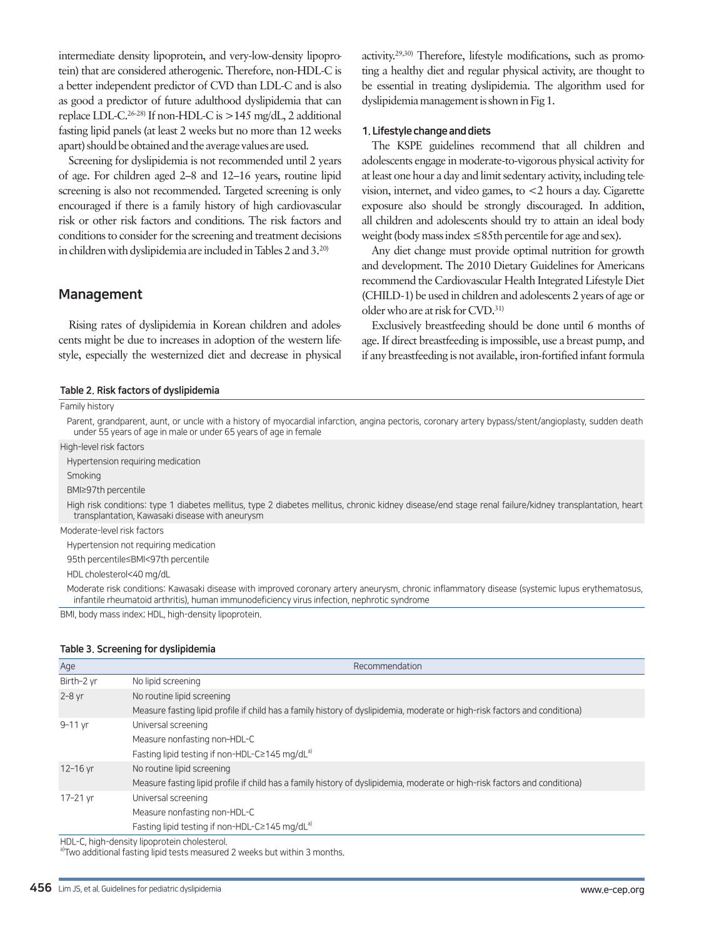intermediate density lipoprotein, and very-low-density lipoprotein) that are considered atherogenic. Therefore, non-HDL-C is a better independent predictor of CVD than LDL-C and is also as good a predictor of future adulthood dyslipidemia that can replace LDL-C.<sup>26-28)</sup> If non-HDL-C is  $>145$  mg/dL, 2 additional fasting lipid panels (at least 2 weeks but no more than 12 weeks apart) should be obtained and the average values are used.

Screening for dyslipidemia is not recommended until 2 years of age. For children aged 2–8 and 12–16 years, routine lipid screening is also not recommended. Targeted screening is only encouraged if there is a family history of high cardiovascular risk or other risk factors and conditions. The risk factors and conditions to consider for the screening and treatment decisions in children with dyslipidemia are included in Tables 2 and 3.20)

# Management

Rising rates of dyslipidemia in Korean children and adolescents might be due to increases in adoption of the western lifestyle, especially the westernized diet and decrease in physical activity.29,30) Therefore, lifestyle modifications, such as promoting a healthy diet and regular physical activity, are thought to be essential in treating dyslipidemia. The algorithm used for dyslipidemia management is shown in Fig 1.

#### 1. Lifestyle change and diets

The KSPE guidelines recommend that all children and adolescents engage in moderate-to-vigorous physical activity for at least one hour a day and limit sedentary activity, including television, internet, and video games, to <2 hours a day. Cigarette exposure also should be strongly discouraged. In addition, all children and adolescents should try to attain an ideal body weight (body mass index ≤85th percentile for age and sex).

Any diet change must provide optimal nutrition for growth and development. The 2010 Dietary Guidelines for Americans recommend the Cardiovascular Health Integrated Lifestyle Diet (CHILD-1) be used in children and adolescents 2 years of age or older who are at risk for CVD.31)

Exclusively breastfeeding should be done until 6 months of age. If direct breastfeeding is impossible, use a breast pump, and if any breastfeeding is not available, iron-fortified infant formula

#### Table 2. Risk factors of dyslipidemia

Family history

Parent, grandparent, aunt, or uncle with a history of myocardial infarction, angina pectoris, coronary artery bypass/stent/angioplasty, sudden death under 55 years of age in male or under 65 years of age in female High-level risk factors

Hypertension requiring medication

Smoking

BMI≥97th percentile

High risk conditions: type 1 diabetes mellitus, type 2 diabetes mellitus, chronic kidney disease/end stage renal failure/kidney transplantation, heart transplantation, Kawasaki disease with aneurysm

Moderate-level risk factors

Hypertension not requiring medication

95th percentile≤BMI<97th percentile

HDL cholesterol<40 mg/dL

Moderate risk conditions: Kawasaki disease with improved coronary artery aneurysm, chronic inflammatory disease (systemic lupus erythematosus, infantile rheumatoid arthritis), human immunodeficiency virus infection, nephrotic syndrome

BMI, body mass index; HDL, high-density lipoprotein.

#### Table 3. Screening for dyslipidemia

| Age        | Recommendation                                                                                                             |
|------------|----------------------------------------------------------------------------------------------------------------------------|
| Birth-2 yr | No lipid screening                                                                                                         |
| $2 - 8$ yr | No routine lipid screening                                                                                                 |
|            | Measure fasting lipid profile if child has a family history of dyslipidemia, moderate or high-risk factors and conditiona) |
| 9-11 yr    | Universal screening                                                                                                        |
|            | Measure nonfasting non-HDL-C                                                                                               |
|            | Fasting lipid testing if non-HDL-C≥145 mg/dL <sup>a)</sup>                                                                 |
| 12-16 yr   | No routine lipid screening                                                                                                 |
|            | Measure fasting lipid profile if child has a family history of dyslipidemia, moderate or high-risk factors and conditiona) |
| 17-21 vr   | Universal screening                                                                                                        |
|            | Measure nonfasting non-HDL-C                                                                                               |
|            | Fasting lipid testing if non-HDL-C≥145 mg/dL <sup>a)</sup>                                                                 |
|            |                                                                                                                            |

HDL-C, high-density lipoprotein cholesterol.

a)Two additional fasting lipid tests measured 2 weeks but within 3 months.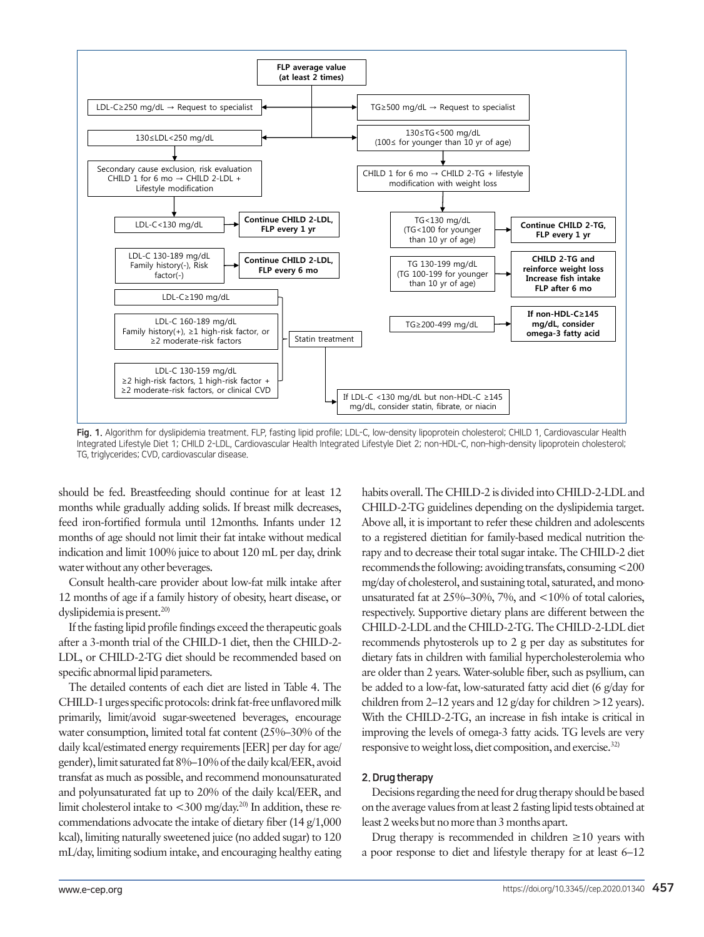

Fig. 1. Algorithm for dyslipidemia treatment. FLP, fasting lipid profile; LDL-C, low-density lipoprotein cholesterol; CHILD 1, Cardiovascular Health Integrated Lifestyle Diet 1; CHILD 2-LDL, Cardiovascular Health Integrated Lifestyle Diet 2; non-HDL-C, non–high-density lipoprotein cholesterol; TG, triglycerides; CVD, cardiovascular disease.

should be fed. Breastfeeding should continue for at least 12 months while gradually adding solids. If breast milk decreases, feed iron-fortified formula until 12months. Infants under 12 months of age should not limit their fat intake without medical indication and limit 100% juice to about 120 mL per day, drink water without any other beverages.

Consult health-care provider about low-fat milk intake after 12 months of age if a family history of obesity, heart disease, or dyslipidemia is present.<sup>20)</sup>

If the fasting lipid profile findings exceed the therapeutic goals after a 3-month trial of the CHILD-1 diet, then the CHILD-2- LDL, or CHILD-2-TG diet should be recommended based on specific abnormal lipid parameters.

The detailed contents of each diet are listed in Table 4. The CHILD-1 urges specific protocols: drink fat-free unflavored milk primarily, limit/avoid sugar-sweetened beverages, encourage water consumption, limited total fat content (25%–30% of the daily kcal/estimated energy requirements [EER] per day for age/ gender), limit saturated fat 8%–10% of the daily kcal/EER, avoid transfat as much as possible, and recommend monounsaturated and polyunsaturated fat up to 20% of the daily kcal/EER, and limit cholesterol intake to  $<300$  mg/day.<sup>20)</sup> In addition, these recommendations advocate the intake of dietary fiber (14 g/1,000 kcal), limiting naturally sweetened juice (no added sugar) to 120 mL/day, limiting sodium intake, and encouraging healthy eating

habits overall. The CHILD-2 is divided into CHILD-2-LDL and CHILD-2-TG guidelines depending on the dyslipidemia target. Above all, it is important to refer these children and adolescents to a registered dietitian for family-based medical nutrition therapy and to decrease their total sugar intake. The CHILD-2 diet recommends the following: avoiding transfats, consuming <200 mg/day of cholesterol, and sustaining total, saturated, and monounsaturated fat at 25%–30%, 7%, and <10% of total calories, respectively. Supportive dietary plans are different between the CHILD-2-LDL and the CHILD-2-TG. The CHILD-2-LDL diet recommends phytosterols up to 2 g per day as substitutes for dietary fats in children with familial hypercholesterolemia who are older than 2 years. Water-soluble fiber, such as psyllium, can be added to a low-fat, low-saturated fatty acid diet (6 g/day for children from 2–12 years and 12 g/day for children >12 years). With the CHILD-2-TG, an increase in fish intake is critical in improving the levels of omega-3 fatty acids. TG levels are very responsive to weight loss, diet composition, and exercise.32)

### 2. Drug therapy

Decisions regarding the need for drug therapy should be based on the average values from at least 2 fasting lipid tests obtained at least 2 weeks but no more than 3 months apart.

Drug therapy is recommended in children  $\geq 10$  years with a poor response to diet and lifestyle therapy for at least 6–12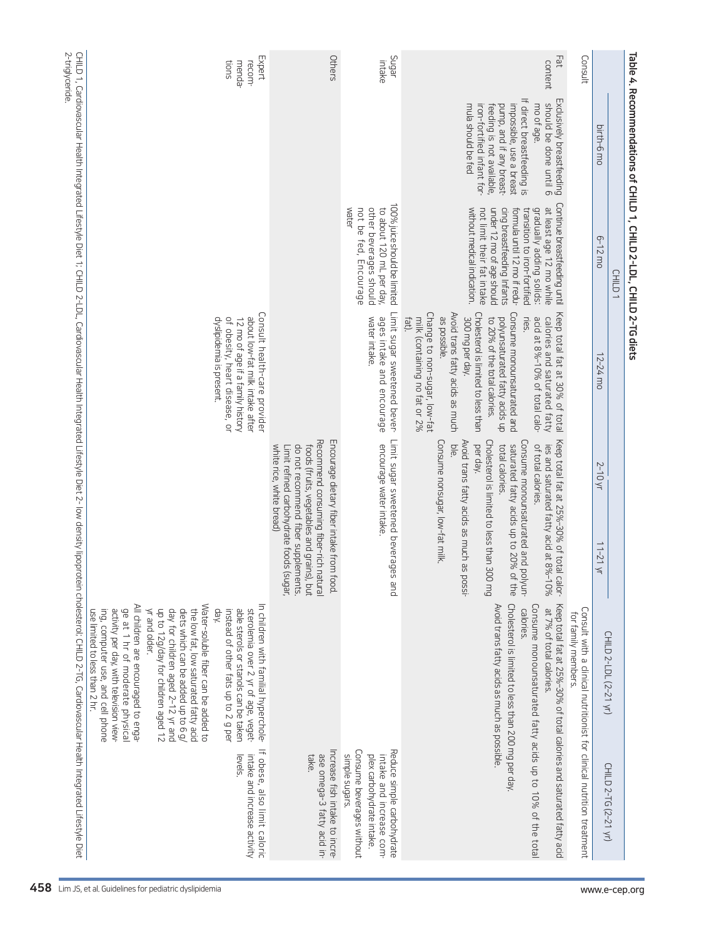| 11-21 yr<br>CHILD 2-LDL (2-21 yr)                                                                                                                                                                                                                                                                                                                                                                                                    |
|--------------------------------------------------------------------------------------------------------------------------------------------------------------------------------------------------------------------------------------------------------------------------------------------------------------------------------------------------------------------------------------------------------------------------------------|
|                                                                                                                                                                                                                                                                                                                                                                                                                                      |
| Consult with a clinical nutritionist for clinical nutrition treatment<br>for family members.                                                                                                                                                                                                                                                                                                                                         |
| Cholesterol is limited to less than 300 mg<br>Keep total fat at 25%-30% of total calor-<br>ies and saturated fatty acid at 8%-10%<br>the<br>∖qn<br>Avoid trans fatty acids as much as possible<br>Keep total fat at 25%-30% of total calories and saturated fatty acid<br>Cholesterol is limited to less than 200 mg per day.<br>Consume monounsaturated fatty acids up to 10% of the total<br>calories.<br>at 7% of total calories. |
| Avoid trans fatty acids as much as possi-                                                                                                                                                                                                                                                                                                                                                                                            |
| pue                                                                                                                                                                                                                                                                                                                                                                                                                                  |
|                                                                                                                                                                                                                                                                                                                                                                                                                                      |
| Encourage dietary fiber intake from food.<br>Recommend consuming fiber-rich natural<br>do not recommend fiber supplements.<br>foods (fruits, vegetables and grains),<br>Limit refined carbohydrate foods (sugar,<br>put                                                                                                                                                                                                              |
| In children with familial hyperchole-<br><b>Jay</b><br>instead of other fats up to 2 g per<br>able sterols or stanols can be taken<br>sterolemia over 2 yr of age, veget-                                                                                                                                                                                                                                                            |
| Water-soluble fiber can be added to<br>up to 12g/day for children aged 12<br>day for children aged 2-12 yr and<br>diets which can be added up to 6 g/<br>yr and older.<br>the low fat, low saturated fatty acid                                                                                                                                                                                                                      |
| Limit sugar sweetened beverages<br>Consume nonsugar, low-fat milk.<br>Consume monounsaturated and poly<br>saturated fatty acids up to 20% of                                                                                                                                                                                                                                                                                         |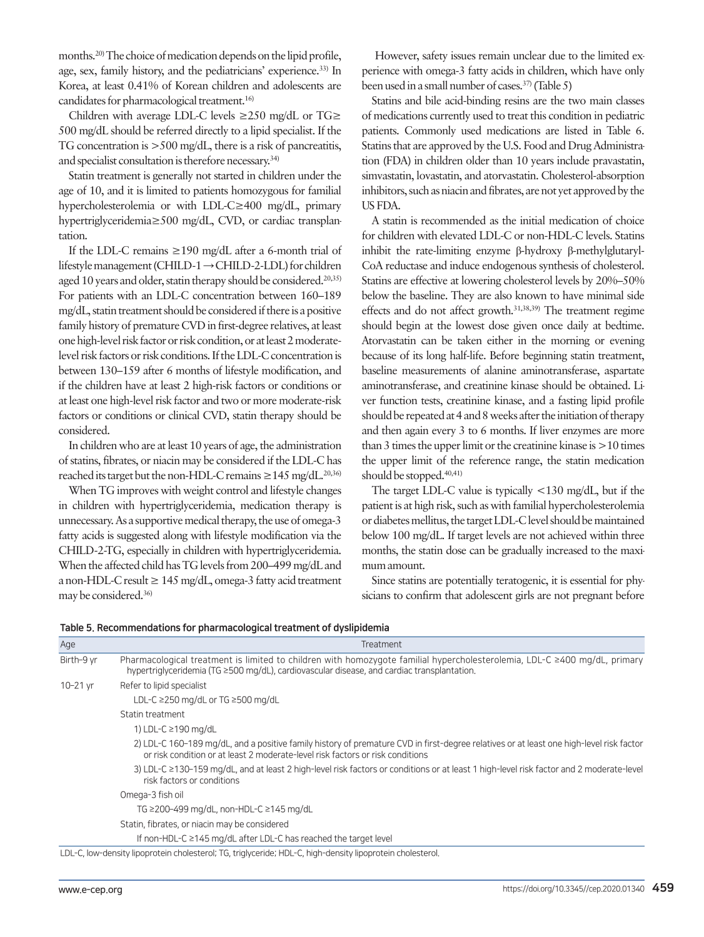months.<sup>20)</sup> The choice of medication depends on the lipid profile, age, sex, family history, and the pediatricians' experience.33) In Korea, at least 0.41% of Korean children and adolescents are candidates for pharmacological treatment.16)

Children with average LDL-C levels  $\geq$ 250 mg/dL or TG $\geq$ 500 mg/dL should be referred directly to a lipid specialist. If the TG concentration is >500 mg/dL, there is a risk of pancreatitis, and specialist consultation is therefore necessary.34)

Statin treatment is generally not started in children under the age of 10, and it is limited to patients homozygous for familial hypercholesterolemia or with LDL-C≥400 mg/dL, primary hypertriglyceridemia≥500 mg/dL, CVD, or cardiac transplantation.

If the LDL-C remains ≥190 mg/dL after a 6-month trial of lifestyle management (CHILD-1 → CHILD-2-LDL) for children aged 10 years and older, statin therapy should be considered.<sup>20,35)</sup> For patients with an LDL-C concentration between 160–189 mg/dL, statin treatment should be considered if there is a positive family history of premature CVD in first-degree relatives, at least one high-level risk factor or risk condition, or at least 2 moderatelevel risk factors or risk conditions. If the LDL-C concentration is between 130–159 after 6 months of lifestyle modification, and if the children have at least 2 high-risk factors or conditions or at least one high-level risk factor and two or more moderate-risk factors or conditions or clinical CVD, statin therapy should be considered.

In children who are at least 10 years of age, the administration of statins, fibrates, or niacin may be considered if the LDL-C has reached its target but the non-HDL-C remains  $\geq$  145 mg/dL.<sup>20,36)</sup>

When TG improves with weight control and lifestyle changes in children with hypertriglyceridemia, medication therapy is unnecessary. As a supportive medical therapy, the use of omega-3 fatty acids is suggested along with lifestyle modification via the CHILD-2-TG, especially in children with hypertriglyceridemia. When the affected child has TG levels from 200–499 mg/dL and a non-HDL-C result  $\geq 145$  mg/dL, omega-3 fatty acid treatment may be considered.36)

 However, safety issues remain unclear due to the limited experience with omega-3 fatty acids in children, which have only been used in a small number of cases.<sup>37)</sup> (Table 5)

Statins and bile acid-binding resins are the two main classes of medications currently used to treat this condition in pediatric patients. Commonly used medications are listed in Table 6. Statins that are approved by the U.S. Food and Drug Administration (FDA) in children older than 10 years include pravastatin, simvastatin, lovastatin, and atorvastatin. Cholesterol-absorption inhibitors, such as niacin and fibrates, are not yet approved by the US FDA.

A statin is recommended as the initial medication of choice for children with elevated LDL-C or non-HDL-C levels. Statins inhibit the rate-limiting enzyme β-hydroxy β-methylglutaryl-CoA reductase and induce endogenous synthesis of cholesterol. Statins are effective at lowering cholesterol levels by 20%–50% below the baseline. They are also known to have minimal side effects and do not affect growth.31,38,39) The treatment regime should begin at the lowest dose given once daily at bedtime. Atorvastatin can be taken either in the morning or evening because of its long half-life. Before beginning statin treatment, baseline measurements of alanine aminotransferase, aspartate aminotransferase, and creatinine kinase should be obtained. Liver function tests, creatinine kinase, and a fasting lipid profile should be repeated at 4 and 8 weeks after the initiation of therapy and then again every 3 to 6 months. If liver enzymes are more than 3 times the upper limit or the creatinine kinase is >10 times the upper limit of the reference range, the statin medication should be stopped.<sup>40,41)</sup>

The target LDL-C value is typically <130 mg/dL, but if the patient is at high risk, such as with familial hypercholesterolemia or diabetes mellitus, the target LDL-C level should be maintained below 100 mg/dL. If target levels are not achieved within three months, the statin dose can be gradually increased to the maximum amount.

Since statins are potentially teratogenic, it is essential for physicians to confirm that adolescent girls are not pregnant before

| Age          | <b>Treatment</b>                                                                                                                                                                                                              |
|--------------|-------------------------------------------------------------------------------------------------------------------------------------------------------------------------------------------------------------------------------|
| Birth-9 vr   | Pharmacological treatment is limited to children with homozygote familial hypercholesterolemia, LDL-C ≥400 mg/dL, primary<br>hypertriglyceridemia (TG $\geq$ 500 mg/dL), cardiovascular disease, and cardiac transplantation. |
| $10 - 21$ yr | Refer to lipid specialist                                                                                                                                                                                                     |
|              | LDL-C $\geq$ 250 mg/dL or TG $\geq$ 500 mg/dL                                                                                                                                                                                 |
|              | Statin treatment                                                                                                                                                                                                              |
|              | 1) LDL-C ≥190 mg/dL                                                                                                                                                                                                           |
|              | 2) LDL-C 160-189 mg/dL, and a positive family history of premature CVD in first-degree relatives or at least one high-level risk factor<br>or risk condition or at least 2 moderate-level risk factors or risk conditions     |
|              | 3) LDL-C ≥130-159 mg/dL, and at least 2 high-level risk factors or conditions or at least 1 high-level risk factor and 2 moderate-level<br>risk factors or conditions                                                         |
|              | Omega-3 fish oil                                                                                                                                                                                                              |
|              | TG ≥200-499 mg/dL, non-HDL-C ≥145 mg/dL                                                                                                                                                                                       |
|              | Statin, fibrates, or niacin may be considered                                                                                                                                                                                 |
|              | If non-HDL-C $\geq$ 145 mg/dL after LDL-C has reached the target level                                                                                                                                                        |
|              | LDL-C, low-density lipoprotein cholesterol; TG, triglyceride; HDL-C, high-density lipoprotein cholesterol.                                                                                                                    |

|  | Table 5. Recommendations for pharmacological treatment of dyslipidemia |  |
|--|------------------------------------------------------------------------|--|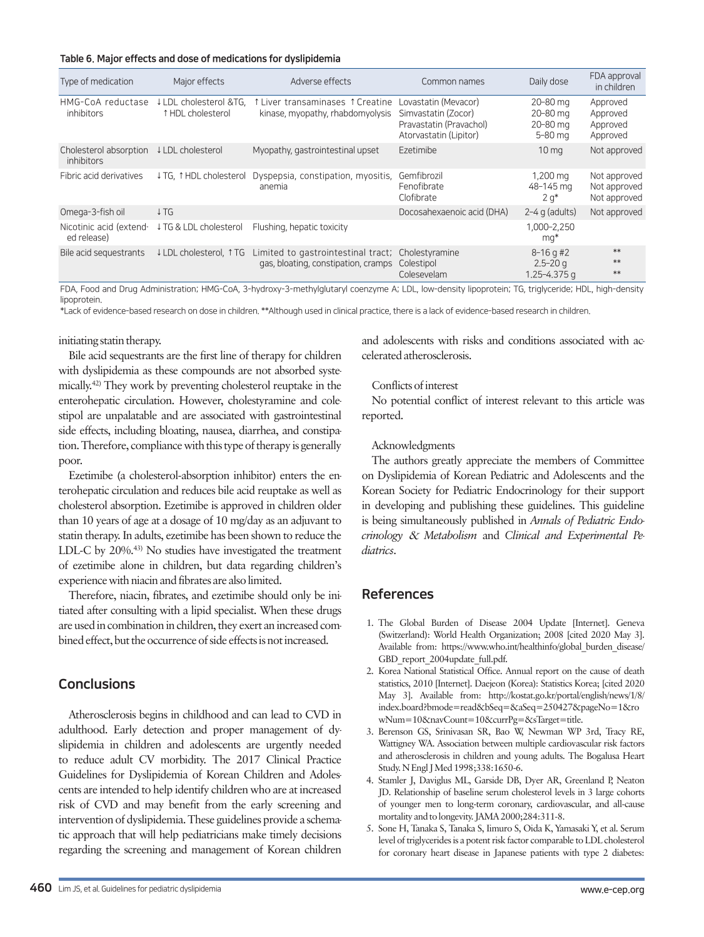Table 6. Major effects and dose of medications for dyslipidemia

| Type of medication                     | Major effects                               | Adverse effects                                                                          | Common names                                                                                     | Daily dose                                       | FDA approval<br>in children                  |
|----------------------------------------|---------------------------------------------|------------------------------------------------------------------------------------------|--------------------------------------------------------------------------------------------------|--------------------------------------------------|----------------------------------------------|
| HMG-CoA reductase<br><i>inhibitors</i> | ↓ LDL cholesterol &TG.<br>↑ HDL cholesterol | ↑ Liver transaminases ↑ Creatine<br>kinase, myopathy, rhabdomyolysis                     | Lovastatin (Mevacor)<br>Simvastatin (Zocor)<br>Pravastatin (Pravachol)<br>Atorvastatin (Lipitor) | 20-80 mg<br>20-80 mg<br>20-80 mg<br>5-80 ma      | Approved<br>Approved<br>Approved<br>Approved |
| Cholesterol absorption<br>inhibitors   | ↓ LDL cholesterol                           | Myopathy, gastrointestinal upset                                                         | Ezetimibe                                                                                        | 10 <sub>ma</sub>                                 | Not approved                                 |
| Fibric acid derivatives                | ↓TG, ↑HDL cholesterol                       | Dyspepsia, constipation, myositis,<br>anemia                                             | Gemfibrozil<br>Fenofibrate<br>Clofibrate                                                         | 1,200 mg<br>48-145 mg<br>$2 q^*$                 | Not approved<br>Not approved<br>Not approved |
| Omega-3-fish oil                       | $\downarrow$ TG                             |                                                                                          | Docosahexaenoic acid (DHA)                                                                       | $2-4$ g (adults)                                 | Not approved                                 |
| Nicotinic acid (extend-<br>ed release) | ↓TG & LDL cholesterol                       | Flushing, hepatic toxicity                                                               |                                                                                                  | 1.000-2.250<br>mq*                               |                                              |
| Bile acid sequestrants                 | ↓ LDL cholesterol. ↑ TG                     | Limited to gastrointestinal tract; Cholestyramine<br>gas, bloating, constipation, cramps | Colestipol<br>Colesevelam                                                                        | $8 - 16$ g #2<br>$2.5 - 20q$<br>$1.25 - 4.375$ a | **<br>**<br>$**$                             |

FDA, Food and Drug Administration; HMG-CoA, 3-hydroxy-3-methylglutaryl coenzyme A; LDL, low-density lipoprotein; TG, triglyceride; HDL, high-density lipoprotein.

\*Lack of evidence-based research on dose in children. \*\*Although used in clinical practice, there is a lack of evidence-based research in children.

#### initiating statin therapy.

Bile acid sequestrants are the first line of therapy for children with dyslipidemia as these compounds are not absorbed systemically.42) They work by preventing cholesterol reuptake in the enterohepatic circulation. However, cholestyramine and colestipol are unpalatable and are associated with gastrointestinal side effects, including bloating, nausea, diarrhea, and constipation. Therefore, compliance with this type of therapy is generally poor.

Ezetimibe (a cholesterol-absorption inhibitor) enters the enterohepatic circulation and reduces bile acid reuptake as well as cholesterol absorption. Ezetimibe is approved in children older than 10 years of age at a dosage of 10 mg/day as an adjuvant to statin therapy. In adults, ezetimibe has been shown to reduce the LDL-C by 20%.43) No studies have investigated the treatment of ezetimibe alone in children, but data regarding children's experience with niacin and fibrates are also limited.

Therefore, niacin, fibrates, and ezetimibe should only be initiated after consulting with a lipid specialist. When these drugs are used in combination in children, they exert an increased combined effect, but the occurrence of side effects is not increased.

# **Conclusions**

Atherosclerosis begins in childhood and can lead to CVD in adulthood. Early detection and proper management of dyslipidemia in children and adolescents are urgently needed to reduce adult CV morbidity. The 2017 Clinical Practice Guidelines for Dyslipidemia of Korean Children and Adolescents are intended to help identify children who are at increased risk of CVD and may benefit from the early screening and intervention of dyslipidemia. These guidelines provide a schematic approach that will help pediatricians make timely decisions regarding the screening and management of Korean children

and adolescents with risks and conditions associated with accelerated atherosclerosis.

#### Conflicts of interest

No potential conflict of interest relevant to this article was reported.

#### Acknowledgments

The authors greatly appreciate the members of Committee on Dyslipidemia of Korean Pediatric and Adolescents and the Korean Society for Pediatric Endocrinology for their support in developing and publishing these guidelines. This guideline is being simultaneously published in *Annals of Pediatric Endocrinology* & *Metabolism* and *Clinical and Experimental Pediatrics*.

# References

- 1. The Global Burden of Disease 2004 Update [Internet]. Geneva (Switzerland): World Health Organization; 2008 [cited 2020 May 3]. Available from: [https://www.who.int/healthinfo/global\\_burden\\_disease/](https://www.who.int/healthinfo/global_burden_disease/GBD_report_2004update_full.pdf) GBD report 2004update full.pdf.
- 2. Korea National Statistical Office. Annual report on the cause of death statistics, 2010 [Internet]. Daejeon (Korea): Statistics Korea; [cited 2020 May 3]. Available from: [http://kostat.go.kr/portal/english/news/1/8/](http://kostat.go.kr/portal/english/news/1/8/index.board?bmode=read&bSeq=&aSeq=250427&pageNo=1&rowNum=10&navCount=10&currPg=&sTarget=title) [index.board?bmode=read&bSeq=&aSeq=250427&pageNo=1&ro](http://kostat.go.kr/portal/english/news/1/8/index.board?bmode=read&bSeq=&aSeq=250427&pageNo=1&rowNum=10&navCount=10&currPg=&sTarget=title) [wNum=10&navCount=10&currPg=&sTarget=title.](http://kostat.go.kr/portal/english/news/1/8/index.board?bmode=read&bSeq=&aSeq=250427&pageNo=1&rowNum=10&navCount=10&currPg=&sTarget=title)
- 3. Berenson GS, Srinivasan SR, Bao W, Newman WP 3rd, Tracy RE, Wattigney WA. Association between multiple cardiovascular risk factors and atherosclerosis in children and young adults. The Bogalusa Heart Study. N Engl J Med 1998;338:1650-6.
- 4. Stamler J, Daviglus ML, Garside DB, Dyer AR, Greenland P, Neaton JD. Relationship of baseline serum cholesterol levels in 3 large cohorts of younger men to long-term coronary, cardiovascular, and all-cause mortality and to longevity. JAMA 2000;284:311-8.
- 5. Sone H, Tanaka S, Tanaka S, Iimuro S, Oida K, Yamasaki Y, et al. Serum level of triglycerides is a potent risk factor comparable to LDL cholesterol for coronary heart disease in Japanese patients with type 2 diabetes: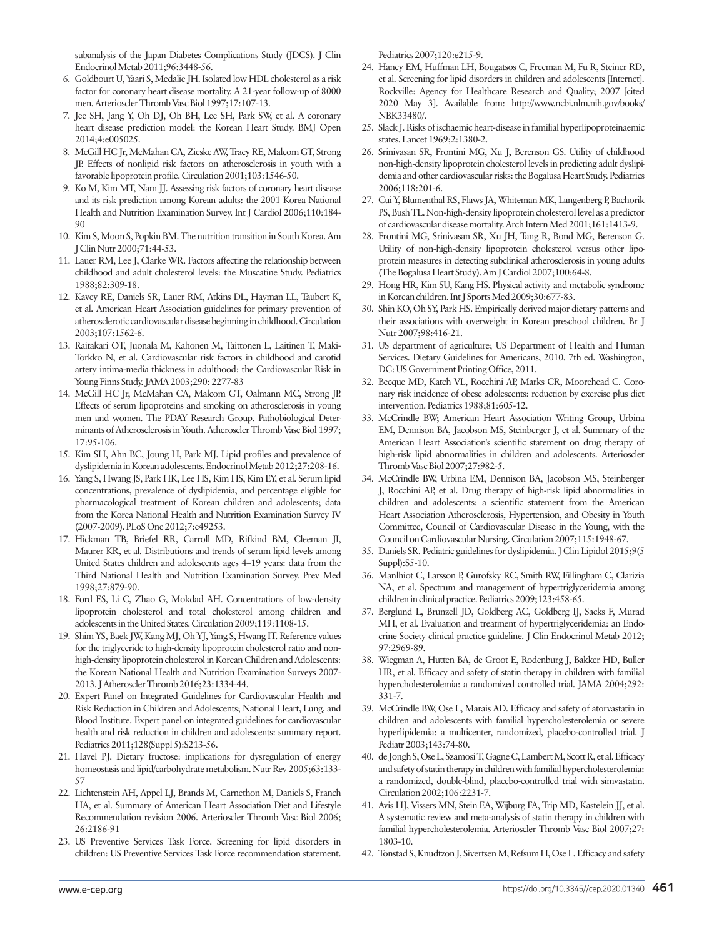subanalysis of the Japan Diabetes Complications Study (JDCS). J Clin Endocrinol Metab 2011;96:3448-56.

- 6. Goldbourt U, Yaari S, Medalie JH. Isolated low HDL cholesterol as a risk factor for coronary heart disease mortality. A 21-year follow-up of 8000 men. Arterioscler Thromb Vasc Biol 1997;17:107-13.
- 7. Jee SH, Jang Y, Oh DJ, Oh BH, Lee SH, Park SW, et al. A coronary heart disease prediction model: the Korean Heart Study. BMJ Open 2014;4:e005025.
- 8. McGill HC Jr, McMahan CA, Zieske AW, Tracy RE, Malcom GT, Strong JP. Effects of nonlipid risk factors on atherosclerosis in youth with a favorable lipoprotein profile. Circulation 2001;103:1546-50.
- 9. Ko M, Kim MT, Nam JJ. Assessing risk factors of coronary heart disease and its risk prediction among Korean adults: the 2001 Korea National Health and Nutrition Examination Survey. Int J Cardiol 2006;110:184-  $9<sub>0</sub>$
- 10. Kim S, Moon S, Popkin BM. The nutrition transition in South Korea. Am J Clin Nutr 2000;71:44-53.
- 11. Lauer RM, Lee J, Clarke WR. Factors affecting the relationship between childhood and adult cholesterol levels: the Muscatine Study. Pediatrics 1988;82:309-18.
- 12. Kavey RE, Daniels SR, Lauer RM, Atkins DL, Hayman LL, Taubert K, et al. American Heart Association guidelines for primary prevention of atherosclerotic cardiovascular disease beginning in childhood. Circulation 2003;107:1562-6.
- 13. Raitakari OT, Juonala M, Kahonen M, Taittonen L, Laitinen T, Maki-Torkko N, et al. Cardiovascular risk factors in childhood and carotid artery intima-media thickness in adulthood: the Cardiovascular Risk in Young Finns Study. JAMA 2003;290: 2277-83
- 14. McGill HC Jr, McMahan CA, Malcom GT, Oalmann MC, Strong JP. Effects of serum lipoproteins and smoking on atherosclerosis in young men and women. The PDAY Research Group. Pathobiological Determinants of Atherosclerosis in Youth. Atheroscler Thromb Vasc Biol 1997; 17:95-106.
- 15. Kim SH, Ahn BC, Joung H, Park MJ. Lipid profiles and prevalence of dyslipidemia in Korean adolescents. Endocrinol Metab 2012;27:208-16.
- 16. Yang S, Hwang JS, Park HK, Lee HS, Kim HS, Kim EY, et al. Serum lipid concentrations, prevalence of dyslipidemia, and percentage eligible for pharmacological treatment of Korean children and adolescents; data from the Korea National Health and Nutrition Examination Survey IV (2007-2009). PLoS One 2012;7:e49253.
- 17. Hickman TB, Briefel RR, Carroll MD, Rifkind BM, Cleeman JI, Maurer KR, et al. Distributions and trends of serum lipid levels among United States children and adolescents ages 4–19 years: data from the Third National Health and Nutrition Examination Survey. Prev Med 1998;27:879-90.
- 18. Ford ES, Li C, Zhao G, Mokdad AH. Concentrations of low-density lipoprotein cholesterol and total cholesterol among children and adolescents in the United States. Circulation 2009;119:1108-15.
- 19. Shim YS, Baek JW, Kang MJ, Oh YJ, Yang S, Hwang IT. Reference values for the triglyceride to high-density lipoprotein cholesterol ratio and nonhigh-density lipoprotein cholesterol in Korean Children and Adolescents: the Korean National Health and Nutrition Examination Surveys 2007- 2013. J Atheroscler Thromb 2016;23:1334-44.
- 20. Expert Panel on Integrated Guidelines for Cardiovascular Health and Risk Reduction in Children and Adolescents; National Heart, Lung, and Blood Institute. Expert panel on integrated guidelines for cardiovascular health and risk reduction in children and adolescents: summary report. Pediatrics 2011;128(Suppl 5):S213-56.
- 21. Havel PJ. Dietary fructose: implications for dysregulation of energy homeostasis and lipid/carbohydrate metabolism. Nutr Rev 2005;63:133- 57
- 22. Lichtenstein AH, Appel LJ, Brands M, Carnethon M, Daniels S, Franch HA, et al. Summary of American Heart Association Diet and Lifestyle Recommendation revision 2006. Arterioscler Thromb Vasc Biol 2006; 26:2186-91
- 23. US Preventive Services Task Force. Screening for lipid disorders in children: US Preventive Services Task Force recommendation statement.

Pediatrics 2007;120:e215-9.

- 24. Haney EM, Huffman LH, Bougatsos C, Freeman M, Fu R, Steiner RD, et al. Screening for lipid disorders in children and adolescents [Internet]. Rockville: Agency for Healthcare Research and Quality; 2007 [cited 2020 May 3]. Available from: [http://www.ncbi.nlm.nih.gov/books/](http://www.ncbi.nlm.nih.gov/books/NBK33480/) [NBK33480/.](http://www.ncbi.nlm.nih.gov/books/NBK33480/)
- 25. Slack J. Risks of ischaemic heart-disease in familial hyperlipoproteinaemic states. Lancet 1969;2:1380-2.
- 26. Srinivasan SR, Frontini MG, Xu J, Berenson GS. Utility of childhood non-high-density lipoprotein cholesterol levels in predicting adult dyslipidemia and other cardiovascular risks: the Bogalusa Heart Study. Pediatrics 2006;118:201-6.
- 27. Cui Y, Blumenthal RS, Flaws JA, Whiteman MK, Langenberg P, Bachorik PS, Bush TL. Non-high-density lipoprotein cholesterol level as a predictor of cardiovascular disease mortality. Arch Intern Med 2001;161:1413-9.
- 28. Frontini MG, Srinivasan SR, Xu JH, Tang R, Bond MG, Berenson G. Utility of non-high-density lipoprotein cholesterol versus other lipoprotein measures in detecting subclinical atherosclerosis in young adults (The Bogalusa Heart Study). Am J Cardiol 2007;100:64-8.
- 29. Hong HR, Kim SU, Kang HS. Physical activity and metabolic syndrome in Korean children. Int J Sports Med 2009;30:677-83.
- 30. Shin KO, Oh SY, Park HS. Empirically derived major dietary patterns and their associations with overweight in Korean preschool children. Br J Nutr 2007;98:416-21.
- 31. US department of agriculture; US Department of Health and Human Services. Dietary Guidelines for Americans, 2010. 7th ed. Washington, DC: US Government Printing Office, 2011.
- 32. Becque MD, Katch VL, Rocchini AP, Marks CR, Moorehead C. Coronary risk incidence of obese adolescents: reduction by exercise plus diet intervention. Pediatrics 1988;81:605-12.
- 33. McCrindle BW; American Heart Association Writing Group, Urbina EM, Dennison BA, Jacobson MS, Steinberger J, et al. Summary of the American Heart Association's scientific statement on drug therapy of high-risk lipid abnormalities in children and adolescents. Arterioscler Thromb Vasc Biol 2007;27:982-5.
- 34. McCrindle BW, Urbina EM, Dennison BA, Jacobson MS, Steinberger J, Rocchini AP, et al. Drug therapy of high-risk lipid abnormalities in children and adolescents: a scientific statement from the American Heart Association Atherosclerosis, Hypertension, and Obesity in Youth Committee, Council of Cardiovascular Disease in the Young, with the Council on Cardiovascular Nursing. Circulation 2007;115:1948-67.
- 35. Daniels SR. Pediatric guidelines for dyslipidemia. J Clin Lipidol 2015;9(5 Suppl):S5-10.
- 36. Manlhiot C, Larsson P, Gurofsky RC, Smith RW, Fillingham C, Clarizia NA, et al. Spectrum and management of hypertriglyceridemia among children in clinical practice. Pediatrics 2009;123:458-65.
- 37. Berglund L, Brunzell JD, Goldberg AC, Goldberg IJ, Sacks F, Murad MH, et al. Evaluation and treatment of hypertriglyceridemia: an Endocrine Society clinical practice guideline. J Clin Endocrinol Metab 2012; 97:2969-89.
- 38. Wiegman A, Hutten BA, de Groot E, Rodenburg J, Bakker HD, Buller HR, et al. Efficacy and safety of statin therapy in children with familial hypercholesterolemia: a randomized controlled trial. JAMA 2004;292: 331-7.
- 39. McCrindle BW, Ose L, Marais AD. Efficacy and safety of atorvastatin in children and adolescents with familial hypercholesterolemia or severe hyperlipidemia: a multicenter, randomized, placebo-controlled trial. J Pediatr 2003;143:74-80.
- 40. de Jongh S, Ose L, Szamosi T, Gagne C, Lambert M, Scott R, et al. Efficacy and safety of statin therapy in children with familial hypercholesterolemia: a randomized, double-blind, placebo-controlled trial with simvastatin. Circulation 2002;106:2231-7.
- 41. Avis HJ, Vissers MN, Stein EA, Wijburg FA, Trip MD, Kastelein JJ, et al. A systematic review and meta-analysis of statin therapy in children with familial hypercholesterolemia. Arterioscler Thromb Vasc Biol 2007;27: 1803-10.
- 42. Tonstad S, Knudtzon J, Sivertsen M, Refsum H, Ose L. Efficacy and safety